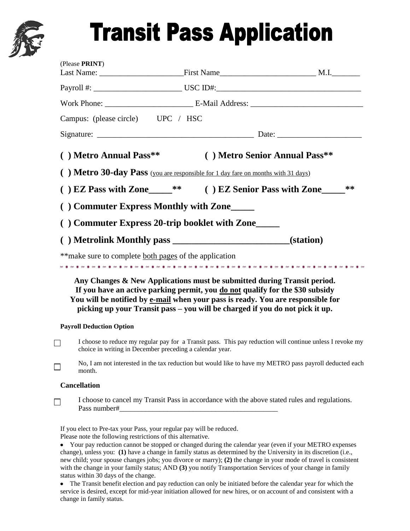

## **Transit Pass Application**

| (Please PRINT)                                                                                                                                                        |                                                                                                                                                                                                                                                                                                                             |    |
|-----------------------------------------------------------------------------------------------------------------------------------------------------------------------|-----------------------------------------------------------------------------------------------------------------------------------------------------------------------------------------------------------------------------------------------------------------------------------------------------------------------------|----|
|                                                                                                                                                                       |                                                                                                                                                                                                                                                                                                                             |    |
|                                                                                                                                                                       |                                                                                                                                                                                                                                                                                                                             |    |
| Campus: (please circle) UPC / HSC                                                                                                                                     |                                                                                                                                                                                                                                                                                                                             |    |
|                                                                                                                                                                       |                                                                                                                                                                                                                                                                                                                             |    |
| () Metro Annual Pass**                                                                                                                                                | () Metro Senior Annual Pass**                                                                                                                                                                                                                                                                                               |    |
|                                                                                                                                                                       | ) Metro 30-day Pass (you are responsible for 1 day fare on months with 31 days)                                                                                                                                                                                                                                             |    |
|                                                                                                                                                                       | ) EZ Pass with Zone_____** () EZ Senior Pass with Zone____                                                                                                                                                                                                                                                                  | ** |
|                                                                                                                                                                       | Commuter Express Monthly with Zone                                                                                                                                                                                                                                                                                          |    |
|                                                                                                                                                                       | Commuter Express 20-trip booklet with Zone____                                                                                                                                                                                                                                                                              |    |
|                                                                                                                                                                       |                                                                                                                                                                                                                                                                                                                             |    |
|                                                                                                                                                                       | ** make sure to complete both pages of the application                                                                                                                                                                                                                                                                      |    |
|                                                                                                                                                                       | Any Changes & New Applications must be submitted during Transit period.<br>If you have an active parking permit, you do not qualify for the \$30 subsidy<br>You will be notified by e-mail when your pass is ready. You are responsible for<br>picking up your Transit pass – you will be charged if you do not pick it up. |    |
| <b>Payroll Deduction Option</b>                                                                                                                                       |                                                                                                                                                                                                                                                                                                                             |    |
| I choose to reduce my regular pay for a Transit pass. This pay reduction will continue unless I revoke my<br>choice in writing in December preceding a calendar year. |                                                                                                                                                                                                                                                                                                                             |    |
| month.                                                                                                                                                                | No, I am not interested in the tax reduction but would like to have my METRO pass payroll deducted each                                                                                                                                                                                                                     |    |
| <b>Cancellation</b>                                                                                                                                                   |                                                                                                                                                                                                                                                                                                                             |    |
| I choose to cancel my Transit Pass in accordance with the above stated rules and regulations.                                                                         |                                                                                                                                                                                                                                                                                                                             |    |
| Please note the following restrictions of this alternative.                                                                                                           | If you elect to Pre-tax your Pass, your regular pay will be reduced.                                                                                                                                                                                                                                                        |    |

Your pay reduction cannot be stopped or changed during the calendar year (even if your METRO expenses change), unless you: **(1)** have a change in family status as determined by the University in its discretion (i.e., new child; your spouse changes jobs; you divorce or marry); **(2)** the change in your mode of travel is consistent with the change in your family status; AND **(3)** you notify Transportation Services of your change in family status within 30 days of the change.

The Transit benefit election and pay reduction can only be initiated before the calendar year for which the service is desired, except for mid-year initiation allowed for new hires, or on account of and consistent with a change in family status.